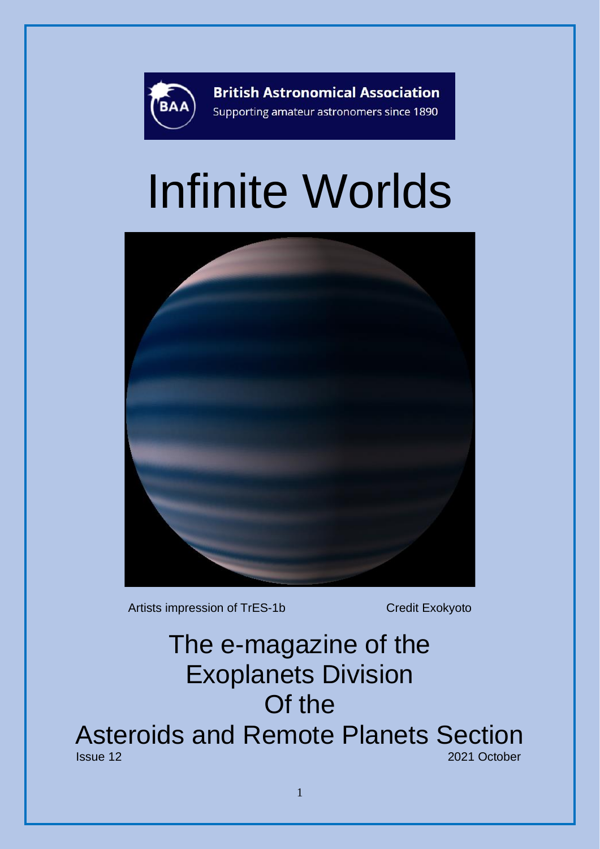

**British Astronomical Association** Supporting amateur astronomers since 1890

# Infinite Worlds



Artists impression of TrES-1b Credit Exokyoto

## The e-magazine of the Exoplanets Division Of the Asteroids and Remote Planets Section 2021 October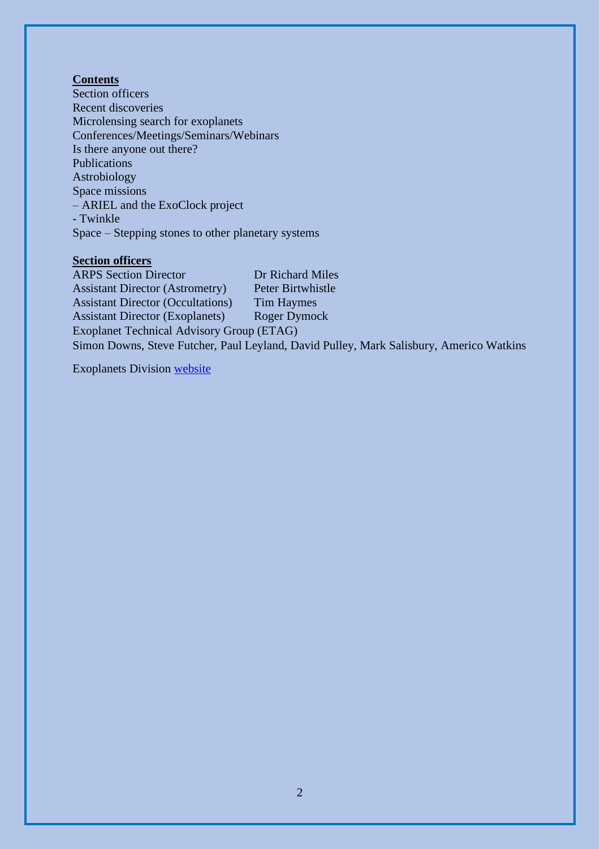#### **Contents**

Section officers Recent discoveries Microlensing search for exoplanets Conferences/Meetings/Seminars/Webinars Is there anyone out there? Publications Astrobiology Space missions – ARIEL and the ExoClock project - Twinkle Space – Stepping stones to other planetary systems

#### **Section officers**

ARPS Section Director Dr Richard Miles Assistant Director (Astrometry) Peter Birtwhistle Assistant Director (Occultations) Tim Haymes Assistant Director (Exoplanets) Roger Dymock Exoplanet Technical Advisory Group (ETAG) Simon Downs, Steve Futcher, Paul Leyland, David Pulley, Mark Salisbury, Americo Watkins

Exoplanets Division [website](https://britastro.org/section_front/15474)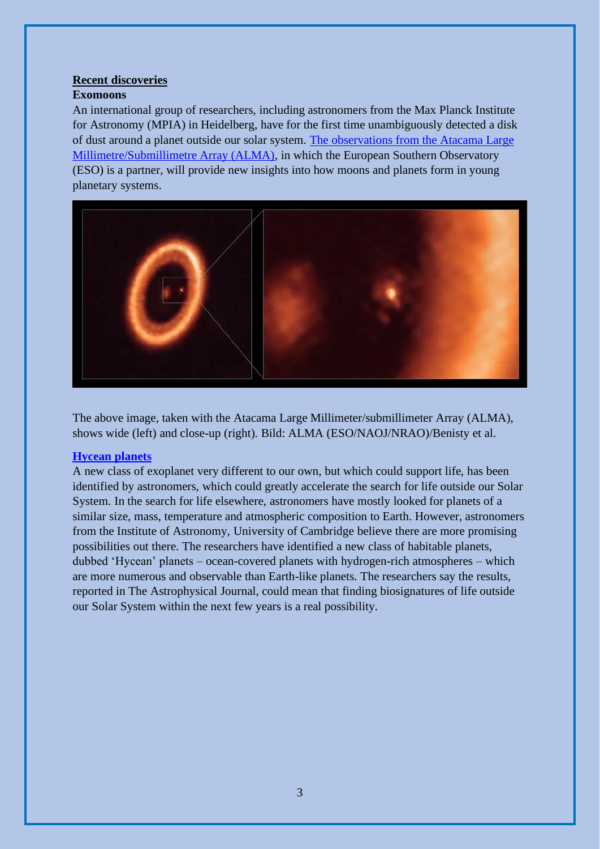### **Recent discoveries**

#### **Exomoons**

An international group of researchers, including astronomers from the Max Planck Institute for Astronomy (MPIA) in Heidelberg, have for the first time unambiguously detected a disk of dust around a planet outside our solar system. [The observations from the Atacama Large](https://www.mpia.de/news/science/2021-11-pds70c-disk)  [Millimetre/Submillimetre Array \(ALMA\),](https://www.mpia.de/news/science/2021-11-pds70c-disk) in which the European Southern Observatory (ESO) is a partner, will provide new insights into how moons and planets form in young planetary systems.



The above image, taken with the Atacama Large Millimeter/submillimeter Array (ALMA), shows wide (left) and close-up (right). Bild: ALMA (ESO/NAOJ/NRAO)/Benisty et al.

#### **[Hycean planets](https://www.ast.cam.ac.uk/content/new.class.habitable.exoplanets.represent.a.big.step.forward.search.life)**

A new class of exoplanet very different to our own, but which could support life, has been identified by astronomers, which could greatly accelerate the search for life outside our Solar System. In the search for life elsewhere, astronomers have mostly looked for planets of a similar size, mass, temperature and atmospheric composition to Earth. However, astronomers from the Institute of Astronomy, University of Cambridge believe there are more promising possibilities out there. The researchers have identified a new class of habitable planets, dubbed 'Hycean' planets – ocean-covered planets with hydrogen-rich atmospheres – which are more numerous and observable than Earth-like planets. The researchers say the results, reported in The Astrophysical Journal, could mean that finding biosignatures of life outside our Solar System within the next few years is a real possibility.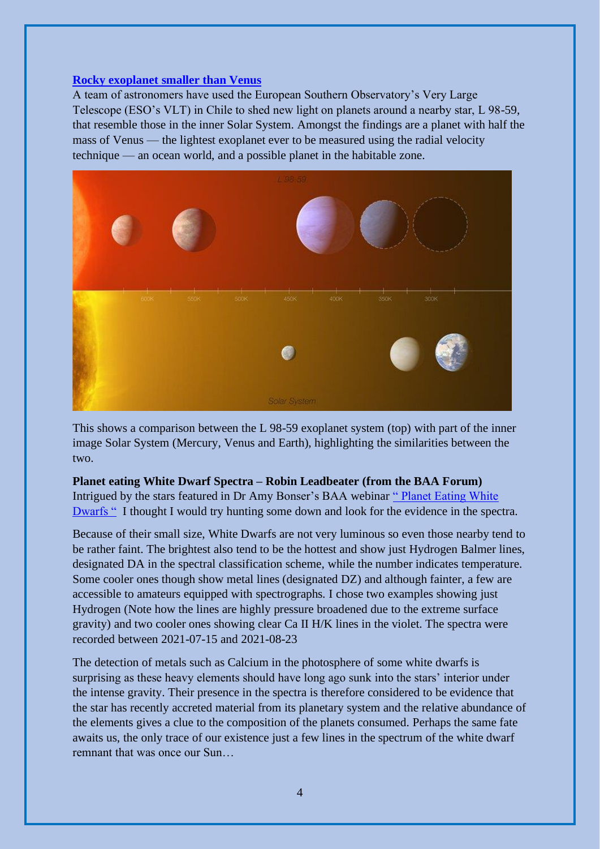#### **[Rocky exoplanet smaller than Venus](https://www.eso.org/public/news/eso2112/)**

A team of astronomers have used the European Southern Observatory's Very Large Telescope (ESO's VLT) in Chile to shed new light on planets around a nearby star, L 98-59, that resemble those in the inner Solar System. Amongst the findings are a planet with half the mass of Venus — the lightest exoplanet ever to be measured using the radial velocity technique — an ocean world, and a possible planet in the habitable zone.



This shows a comparison between the L 98-59 exoplanet system (top) with part of the inner image Solar System (Mercury, Venus and Earth), highlighting the similarities between the two.

#### **Planet eating White Dwarf Spectra – Robin Leadbeater (from the BAA Forum)**

Intrigued by the stars featured in Dr Amy Bonser's BAA webinar [" Planet Eating White](https://www.youtube.com/watch?v=4-JOL5NVZ4I)  [Dwarfs "](https://www.youtube.com/watch?v=4-JOL5NVZ4I) I thought I would try hunting some down and look for the evidence in the spectra.

Because of their small size, White Dwarfs are not very luminous so even those nearby tend to be rather faint. The brightest also tend to be the hottest and show just Hydrogen Balmer lines, designated DA in the spectral classification scheme, while the number indicates temperature. Some cooler ones though show metal lines (designated DZ) and although fainter, a few are accessible to amateurs equipped with spectrographs. I chose two examples showing just Hydrogen (Note how the lines are highly pressure broadened due to the extreme surface gravity) and two cooler ones showing clear Ca II H/K lines in the violet. The spectra were recorded between 2021-07-15 and 2021-08-23

The detection of metals such as Calcium in the photosphere of some white dwarfs is surprising as these heavy elements should have long ago sunk into the stars' interior under the intense gravity. Their presence in the spectra is therefore considered to be evidence that the star has recently accreted material from its planetary system and the relative abundance of the elements gives a clue to the composition of the planets consumed. Perhaps the same fate awaits us, the only trace of our existence just a few lines in the spectrum of the white dwarf remnant that was once our Sun…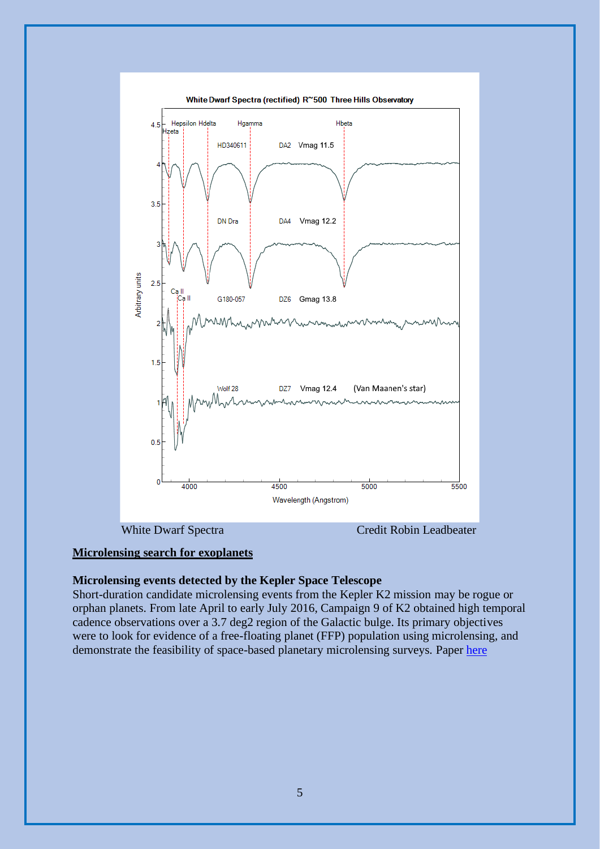

#### **Microlensing search for exoplanets**

#### **Microlensing events detected by the Kepler Space Telescope**

Short-duration candidate microlensing events from the Kepler K2 mission may be rogue or orphan planets. From late April to early July 2016, Campaign 9 of K2 obtained high temporal cadence observations over a 3.7 deg2 region of the Galactic bulge. Its primary objectives were to look for evidence of a free-floating planet (FFP) population using microlensing, and demonstrate the feasibility of space-based planetary microlensing surveys. Paper [here](https://academic.oup.com/mnras/article/505/4/5584/6315707?searchresult=1)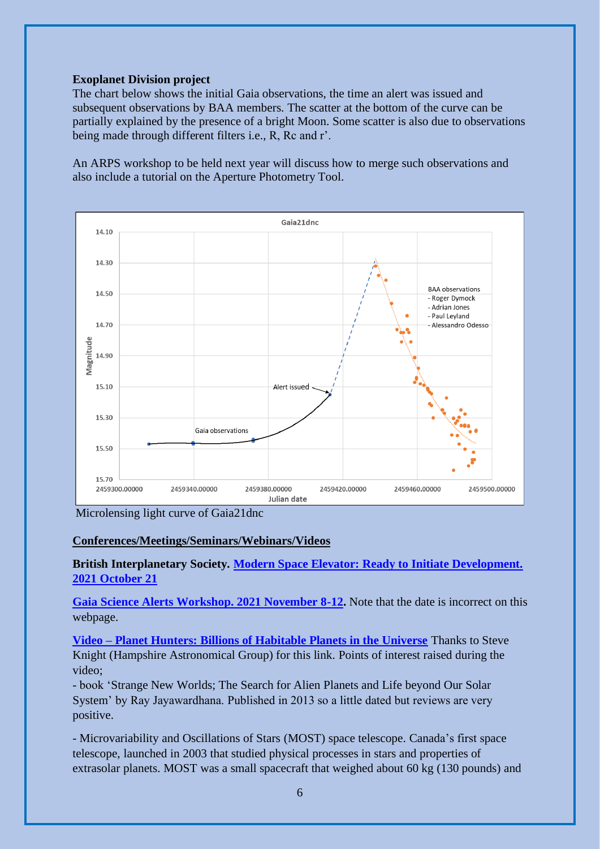#### **Exoplanet Division project**

The chart below shows the initial Gaia observations, the time an alert was issued and subsequent observations by BAA members. The scatter at the bottom of the curve can be partially explained by the presence of a bright Moon. Some scatter is also due to observations being made through different filters i.e., R, Rc and r'.

An ARPS workshop to be held next year will discuss how to merge such observations and also include a tutorial on the Aperture Photometry Tool.



Microlensing light curve of Gaia21dnc

#### **Conferences/Meetings/Seminars/Webinars/Videos**

**British Interplanetary Society. [Modern Space Elevator: Ready to Initiate Development.](https://www.bis-space.com/event/modern-space-elevator-ready-to-initiate-development/)  [2021 October 21](https://www.bis-space.com/event/modern-space-elevator-ready-to-initiate-development/)**

**[Gaia Science Alerts Workshop. 2021 November 8-12.](https://web1.ast.cam.ac.uk/ioa/wikis/gsawgwiki/index.php/Workshop2020:main)** Note that the date is incorrect on this webpage.

**Video – [Planet Hunters: Billions of Habitable Planets in the Universe](https://www.youtube.com/watch?v=cqyvQnrpdec&t=534s)** Thanks to Steve Knight (Hampshire Astronomical Group) for this link. Points of interest raised during the video;

- book 'Strange New Worlds; The Search for Alien Planets and Life beyond Our Solar System' by Ray Jayawardhana. Published in 2013 so a little dated but reviews are very positive.

- Microvariability and Oscillations of Stars (MOST) space telescope. Canada's first space telescope, launched in 2003 that studied physical processes in stars and properties of extrasolar planets. MOST was a small spacecraft that weighed about 60 kg (130 pounds) and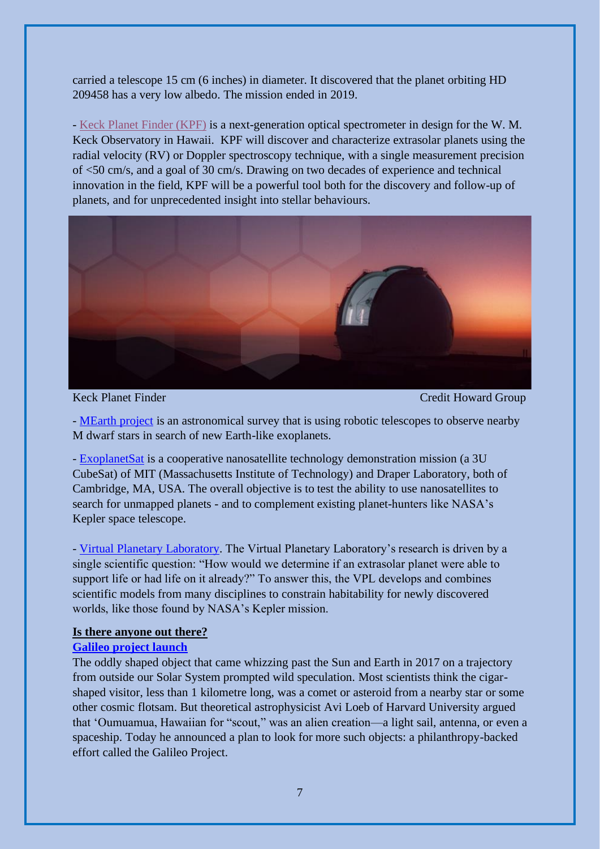carried a telescope 15 cm (6 inches) in diameter. It discovered that the planet orbiting HD 209458 has a very low albedo. The mission ended in 2019.

- [Keck Planet Finder \(KPF\)](https://exoplanets.caltech.edu/kpf/) is a next-generation optical spectrometer in design for the W.M. Keck Observatory in Hawaii. KPF will discover and characterize extrasolar planets using the radial velocity (RV) or Doppler spectroscopy technique, with a single measurement precision of <50 cm/s, and a goal of 30 cm/s. Drawing on two decades of experience and technical innovation in the field, KPF will be a powerful tool both for the discovery and follow-up of planets, and for unprecedented insight into stellar behaviours.



Keck Planet Finder Credit Howard Group

- [MEarth project](https://lweb.cfa.harvard.edu/MEarth/Welcome.html) is an astronomical survey that is using robotic telescopes to observe nearby M dwarf stars in search of new Earth-like exoplanets.

- [ExoplanetSat](https://directory.eoportal.org/web/eoportal/satellite-missions/e/exoplanetsat) is a cooperative nanosatellite technology demonstration mission (a 3U CubeSat) of MIT (Massachusetts Institute of Technology) and Draper Laboratory, both of Cambridge, MA, USA. The overall objective is to test the ability to use nanosatellites to search for unmapped planets - and to complement existing planet-hunters like NASA's Kepler space telescope.

- [Virtual Planetary Laboratory.](https://depts.washington.edu/naivpl/content/welcome-virtual-planetary-laboratory) The Virtual Planetary Laboratory's research is driven by a single scientific question: "How would we determine if an extrasolar planet were able to support life or had life on it already?" To answer this, the VPL develops and combines scientific models from many disciplines to constrain habitability for newly discovered worlds, like those found by NASA's Kepler mission.

#### **Is there anyone out there?**

#### **[Galileo project launch](https://projects.iq.harvard.edu/galileo)**

The oddly shaped object that came whizzing past the Sun and Earth in 2017 on a trajectory from outside our Solar System prompted wild speculation. Most scientists think the cigarshaped visitor, less than 1 kilometre long, was a comet or asteroid from a nearby star or some other cosmic flotsam. But theoretical astrophysicist Avi Loeb of Harvard University argued that 'Oumuamua, Hawaiian for "scout," was an alien creation—a light sail, antenna, or even a spaceship. Today he announced a plan to look for more such objects: a philanthropy-backed effort called the Galileo Project.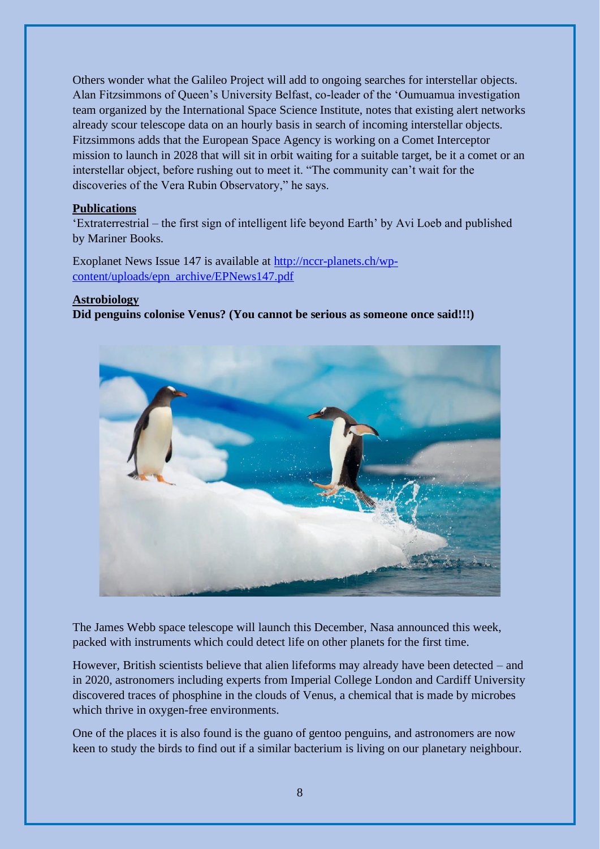Others wonder what the Galileo Project will add to ongoing searches for interstellar objects. Alan Fitzsimmons of Queen's University Belfast, co-leader of the 'Oumuamua investigation team organized by the International Space Science Institute, notes that existing alert networks already scour telescope data on an hourly basis in search of incoming interstellar objects. Fitzsimmons adds that the European Space Agency is working on a Comet Interceptor mission to launch in 2028 that will sit in orbit waiting for a suitable target, be it a comet or an interstellar object, before rushing out to meet it. "The community can't wait for the discoveries of the Vera Rubin Observatory," he says.

#### **Publications**

'Extraterrestrial – the first sign of intelligent life beyond Earth' by Avi Loeb and published by Mariner Books.

Exoplanet News Issue 147 is available at [http://nccr-planets.ch/wp](http://nccr-planets.ch/wp-content/uploads/epn_archive/EPNews147.pdf)[content/uploads/epn\\_archive/EPNews147.pdf](http://nccr-planets.ch/wp-content/uploads/epn_archive/EPNews147.pdf)

#### **Astrobiology**

**Did penguins colonise Venus? (You cannot be serious as someone once said!!!)**



The James Webb space telescope will launch this December, Nasa announced this week, packed with instruments which could detect life on other planets for the first time.

However, British scientists believe that alien lifeforms may already have been detected – and in 2020, astronomers including experts from Imperial College London and Cardiff University discovered traces of phosphine in the clouds of Venus, a chemical that is made by microbes which thrive in oxygen-free environments.

One of the places it is also found is the guano of gentoo penguins, and astronomers are now keen to study the birds to find out if a similar bacterium is living on our planetary neighbour.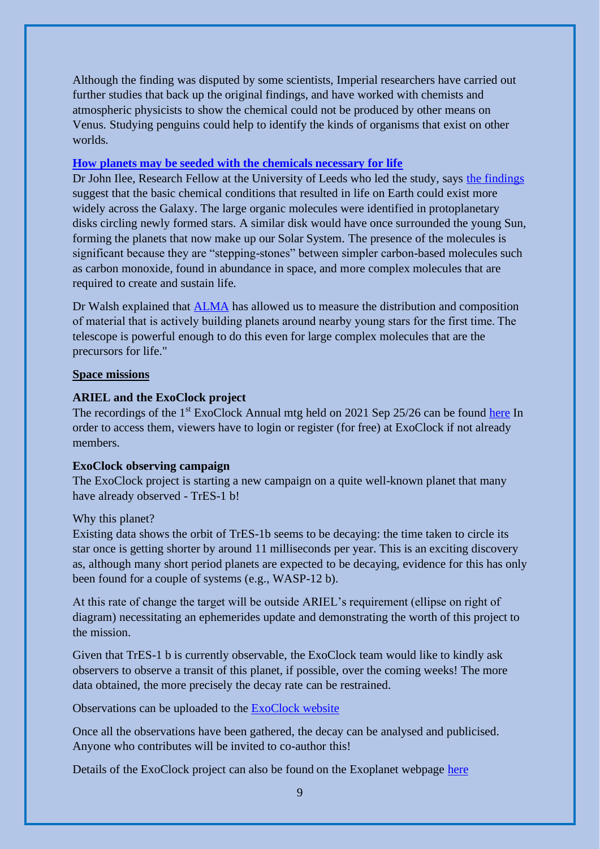Although the finding was disputed by some scientists, Imperial researchers have carried out further studies that back up the original findings, and have worked with chemists and atmospheric physicists to show the chemical could not be produced by other means on Venus. Studying penguins could help to identify the kinds of organisms that exist on other worlds.

#### **[How planets may be seeded with the chemicals necessary for life](https://www.leeds.ac.uk/news-science/news/article/4915/how-planets-may-be-seeded-with-the-chemicals-necessary-for-life)**

Dr John Ilee, Research Fellow at the University of Leeds who led the study, says [the findings](https://arxiv.org/pdf/2109.06319.pdf) suggest that the basic chemical conditions that resulted in life on Earth could exist more widely across the Galaxy. The large organic molecules were identified in protoplanetary disks circling newly formed stars. A similar disk would have once surrounded the young Sun, forming the planets that now make up our Solar System. The presence of the molecules is significant because they are "stepping-stones" between simpler carbon-based molecules such as carbon monoxide, found in abundance in space, and more complex molecules that are required to create and sustain life.

Dr Walsh explained that [ALMA](https://www.leeds.ac.uk/news-science/news/article/4915/how-planets-may-be-seeded-with-the-chemicals-necessary-for-life) has allowed us to measure the distribution and composition of material that is actively building planets around nearby young stars for the first time. The telescope is powerful enough to do this even for large complex molecules that are the precursors for life."

#### **Space missions**

#### **ARIEL and the ExoClock project**

The recordings of the 1<sup>st</sup> ExoClock Annual mtg held on 2021 Sep 25/26 can be found [here](https://www.exoclock.space/annual_meetings?fbclid=IwAR1_uMEUGVBjqGrxstEmNruBmd-iNZ4f3X191SzMWv277oglhB3wRFtXWa4) In order to access them, viewers have to login or register (for free) at ExoClock if not already members.

#### **ExoClock observing campaign**

The ExoClock project is starting a new campaign on a quite well-known planet that many have already observed - TrES-1 b!

#### Why this planet?

Existing data shows the orbit of TrES-1b seems to be decaying: the time taken to circle its star once is getting shorter by around 11 milliseconds per year. This is an exciting discovery as, although many short period planets are expected to be decaying, evidence for this has only been found for a couple of systems (e.g., WASP-12 b).

At this rate of change the target will be outside ARIEL's requirement (ellipse on right of diagram) necessitating an ephemerides update and demonstrating the worth of this project to the mission.

Given that TrES-1 b is currently observable, the ExoClock team would like to kindly ask observers to observe a transit of this planet, if possible, over the coming weeks! The more data obtained, the more precisely the decay rate can be restrained.

Observations can be uploaded to the [ExoClock](https://www.exoclock.space/project) website

Once all the observations have been gathered, the decay can be analysed and publicised. Anyone who contributes will be invited to co-author this!

Details of the ExoClock project can also be found on the Exoplanet webpage [here](https://britastro.org/node/20102)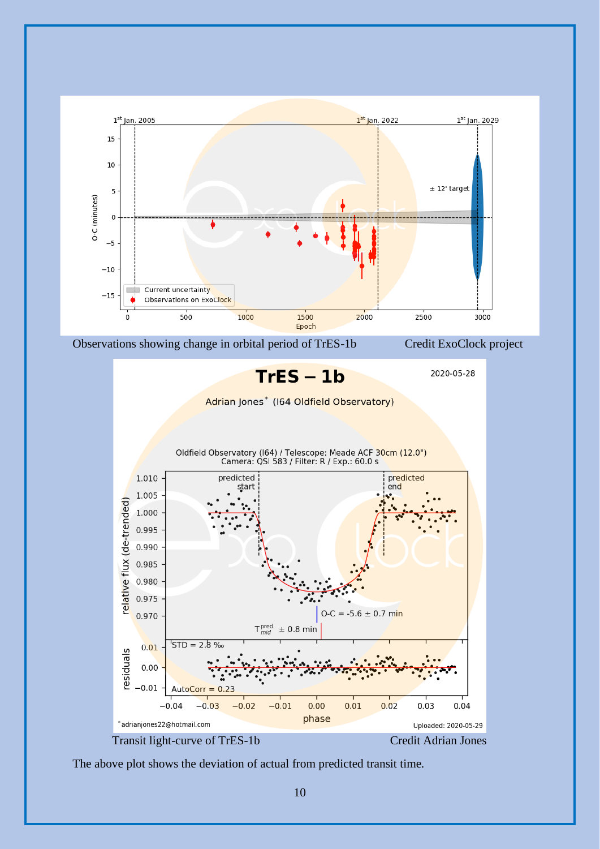

The above plot shows the deviation of actual from predicted transit time.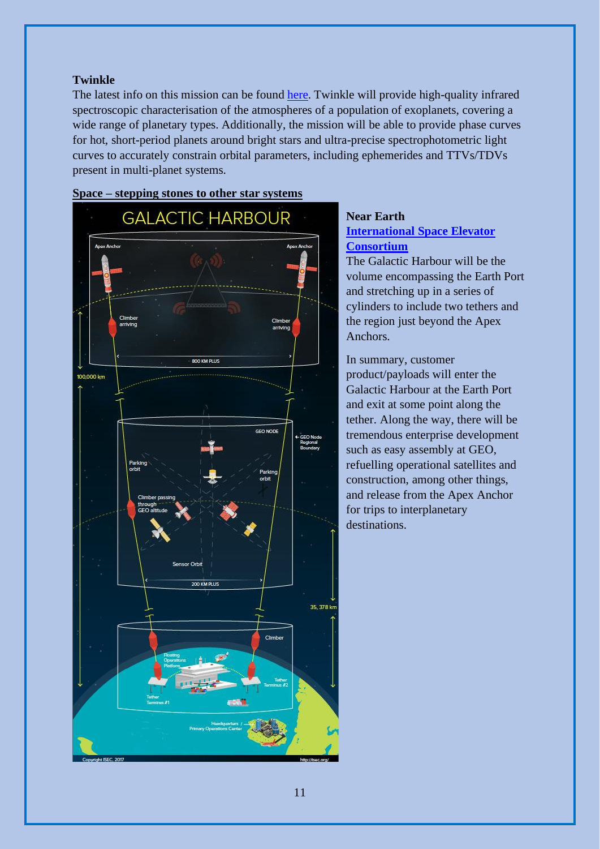#### **Twinkle**

The latest info on this mission can be found [here.](https://www.twinkle-spacemission.co.uk/) Twinkle will provide high-quality infrared spectroscopic characterisation of the atmospheres of a population of exoplanets, covering a wide range of planetary types. Additionally, the mission will be able to provide phase curves for hot, short-period planets around bright stars and ultra-precise spectrophotometric light curves to accurately constrain orbital parameters, including ephemerides and TTVs/TDVs present in multi-planet systems.



#### **Space – stepping stones to other star systems**

### **Near Earth [International Space Elevator](https://www.isec.org/)**

#### **[Consortium](https://www.isec.org/)**

The Galactic Harbour will be the volume encompassing the Earth Port and stretching up in a series of cylinders to include two tethers and the region just beyond the Apex Anchors.

In summary, customer product/payloads will enter the Galactic Harbour at the Earth Port and exit at some point along the tether. Along the way, there will be tremendous enterprise development such as easy assembly at GEO, refuelling operational satellites and construction, among other things, and release from the Apex Anchor for trips to interplanetary destinations.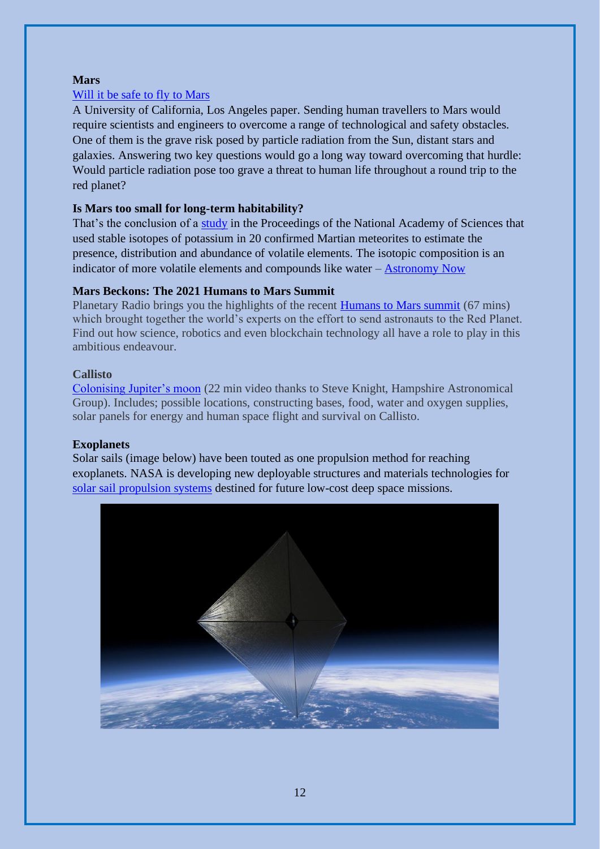#### **Mars**

#### [Will it be safe to fly to Mars](https://agupubs.onlinelibrary.wiley.com/doi/full/10.1029/2021SW002749)

A University of California, Los Angeles paper. Sending human travellers to Mars would require scientists and engineers to overcome a range of technological and safety obstacles. One of them is the grave risk posed by particle radiation from the Sun, distant stars and galaxies. Answering two key questions would go a long way toward overcoming that hurdle: Would particle radiation pose too grave a threat to human life throughout a round trip to the red planet?

#### **Is Mars too small for long-term habitability?**

That's the conclusion of a [study](https://www.pnas.org/content/118/39/e2101155118) in the Proceedings of the National Academy of Sciences that used stable isotopes of potassium in 20 confirmed Martian meteorites to estimate the presence, distribution and abundance of volatile elements. The isotopic composition is an indicator of more volatile elements and compounds like water – [Astronomy Now](https://astronomynow.com/2021/09/22/study-suggests-mars-too-small-for-long-term-habitability/?utm_source=Astronomy+Now+Newsalert&utm_campaign=c56d96226b-&utm_medium=email&utm_term=0_e789188a36-c56d96226b-151098305&mc_cid=c56d96226b&mc_eid=789a337ae4)

#### **Mars Beckons: The 2021 Humans to Mars Summit**

Planetary Radio brings you the highlights of the recent [Humans to Mars summit](https://www.planetary.org/planetary-radio/2021-humans-to-mars-summit-excerpts?autologin=true&utm_campaign=downlink&utm_medium=email&utm_source=20211001&s_src=downlink&s_subsrc=20211001) (67 mins) which brought together the world's experts on the effort to send astronauts to the Red Planet. Find out how science, robotics and even blockchain technology all have a role to play in this ambitious endeavour.

#### **Callisto**

[Colonising Jupiter's moon](https://www.youtube.com/watch?v=ddMiC2lY-OM) (22 min video thanks to Steve Knight, Hampshire Astronomical Group). Includes; possible locations, constructing bases, food, water and oxygen supplies, solar panels for energy and human space flight and survival on Callisto.

#### **Exoplanets**

Solar sails (image below) have been touted as one propulsion method for reaching exoplanets. NASA is developing new deployable structures and materials technologies for [solar sail propulsion systems](https://www.nasa.gov/directorates/spacetech/small_spacecraft/ACS3) destined for future low-cost deep space missions.